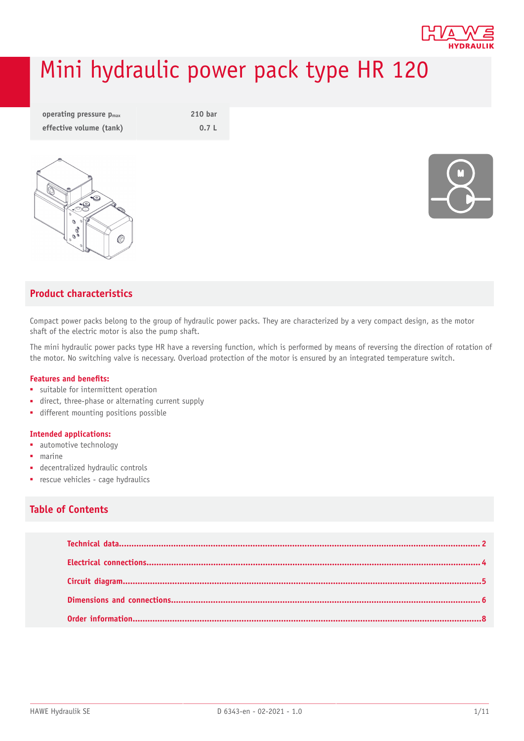

# Mini hydraulic power pack type HR 120

| operating pressure $p_{max}$ | 210 bar |
|------------------------------|---------|
| effective volume (tank)      | 0.7L    |





### **Product characteristics**

Compact power packs belong to the group of hydraulic power packs. They are characterized by a very compact design, as the motor shaft of the electric motor is also the pump shaft.

The mini hydraulic power packs type HR have a reversing function, which is performed by means of reversing the direction of rotation of the motor. No switching valve is necessary. Overload protection of the motor is ensured by an integrated temperature switch.

### **Features and benets:**

- suitable for intermittent operation
- direct, three-phase or alternating current supply
- different mounting positions possible

### **Intended applications:**

- automotive technology
- marine
- decentralized hydraulic controls
- rescue vehicles cage hydraulics

### **Table of Contents**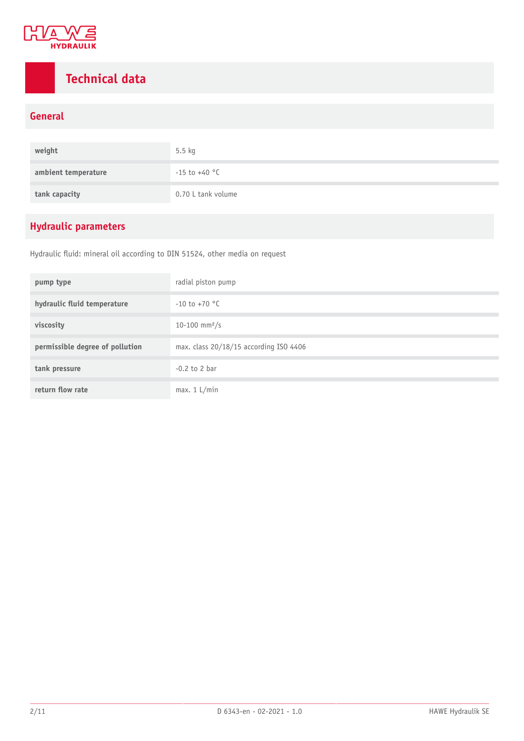

### <span id="page-1-0"></span>**Technical data**

### **General**

| weight              | $5.5$ kg           |
|---------------------|--------------------|
| ambient temperature | $-15$ to $+40$ °C  |
| tank capacity       | 0.70 L tank volume |

### **Hydraulic parameters**

Hydraulic fluid: mineral oil according to DIN 51524, other media on request

| pump type                       | radial piston pump                     |
|---------------------------------|----------------------------------------|
| hydraulic fluid temperature     | $-10$ to $+70$ °C                      |
| viscosity                       | 10-100 mm <sup>2</sup> /s              |
| permissible degree of pollution | max. class 20/18/15 according ISO 4406 |
| tank pressure                   | $-0.2$ to 2 bar                        |
| return flow rate                | max. 1 L/min                           |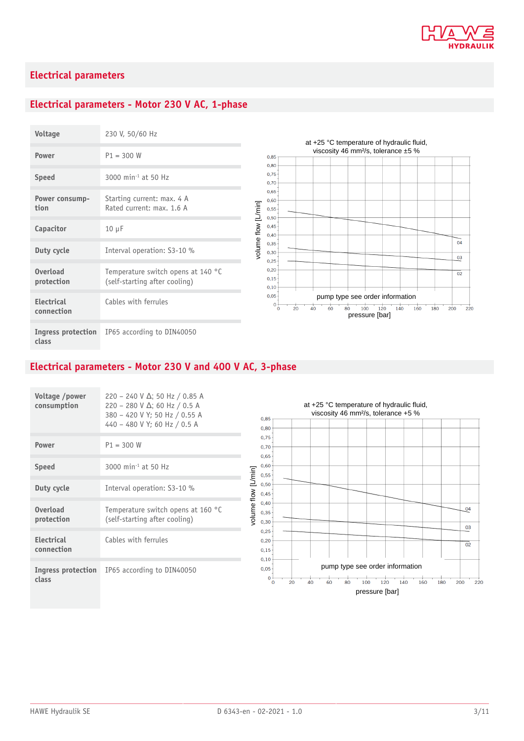

### **Electrical parameters**

### **Electrical parameters - Motor 230 V AC, 1-phase**

| Voltage                         | 230 V, 50/60 Hz                                                     |
|---------------------------------|---------------------------------------------------------------------|
| Power                           | $P1 = 300 W$                                                        |
| <b>Speed</b>                    | 3000 min <sup>-1</sup> at 50 Hz                                     |
| Power consump-<br>tion          | Starting current: max. 4 A<br>Rated current: max. 1.6 A             |
| Capacitor                       | $10 \mu F$                                                          |
| Duty cycle                      | Interval operation: S3-10 %                                         |
| <b>Overload</b><br>protection   | Temperature switch opens at 140 °C<br>(self-starting after cooling) |
| <b>Electrical</b><br>connection | Cables with ferrules                                                |
| Ingress protection<br>class     | IP65 according to DIN40050                                          |

#### at +25 °C temperature of hydraulic fluid, viscosity 46 mm²/s, tolerance ±5 %  $0.85$  $0,80$  $0,75$  $0,70$  $0,65$  $0,60$ volume flow [L/min] volume flow [L/min]  $0,55 0,50$  $0,45$  $0,40$  $\overline{04}$  $0,35$  $0,30$ 03  $0,25$  $0.20$  $\overline{02}$  $0,15$  $0.10$  $0,05$ pump type see order information  $\frac{1}{\sigma_0}$  $\frac{1}{80}$   $\frac{1}{100}$   $\frac{120}{120}$  pressure [bar]  $20$  $40$  $60$  $140$  $160$  $180$  $200$  $\overrightarrow{220}$

### **Electrical parameters - Motor 230 V and 400 V AC, 3-phase**

| Voltage /power<br>consumption   | 220 - 240 V $\Delta$ ; 50 Hz / 0.85 A<br>$220 - 280$ V $\Delta$ ; 60 Hz / 0.5 A<br>380 - 420 V Y; 50 Hz / 0.55 A<br>440 - 480 V Y; 60 Hz / 0.5 A |
|---------------------------------|--------------------------------------------------------------------------------------------------------------------------------------------------|
| Power                           | $P1 = 300 W$                                                                                                                                     |
| <b>Speed</b>                    | 3000 min <sup>-1</sup> at 50 Hz                                                                                                                  |
| Duty cycle                      | Interval operation: S3-10 %                                                                                                                      |
| <b>Overload</b><br>protection   | Temperature switch opens at 160 °C<br>(self-starting after cooling)                                                                              |
| <b>Electrical</b><br>connection | Cables with ferrules                                                                                                                             |
| Ingress protection<br>class     | IP65 according to DIN40050                                                                                                                       |

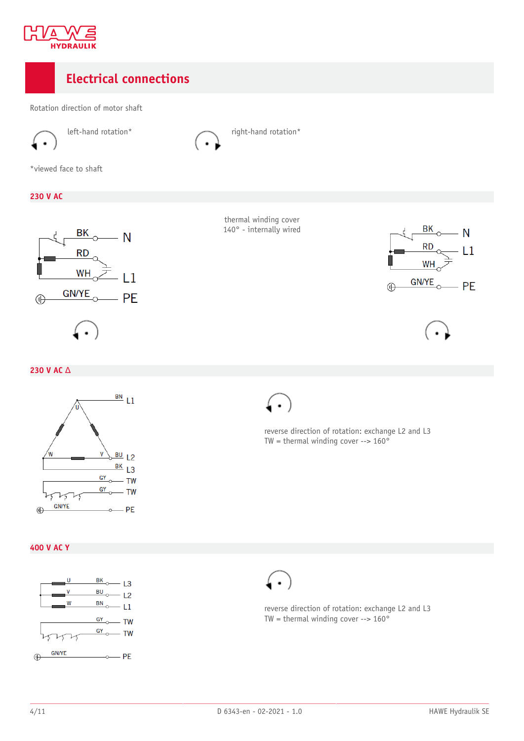

### <span id="page-3-0"></span>**Electrical connections**

Rotation direction of motor shaft





left-hand rotation\* right-hand rotation\*

\*viewed face to shaft

### **230 V AC**



thermal winding cover 140° - internally wired





### **230 V AC** Δ



reverse direction of rotation: exchange L2 and L3 TW = thermal winding cover  $--$  160 $^{\circ}$ 

**400 V AC Y**





reverse direction of rotation: exchange L2 and L3 TW = thermal winding cover -->  $160^{\circ}$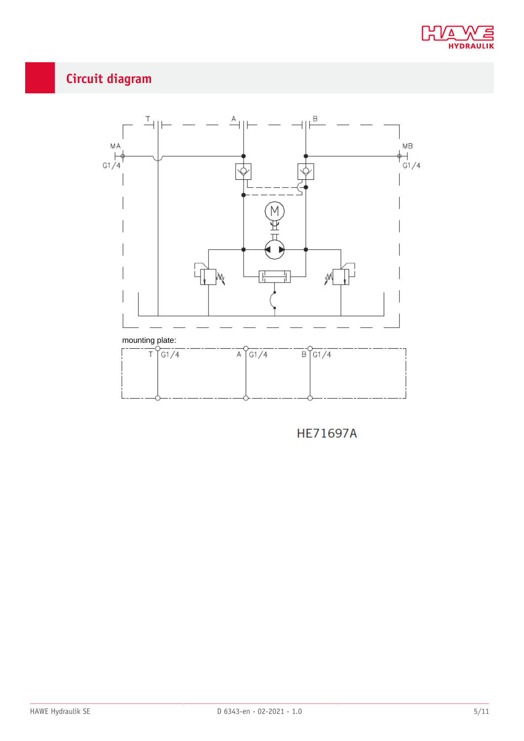

## <span id="page-4-0"></span>**Circuit diagram**



**HE71697A**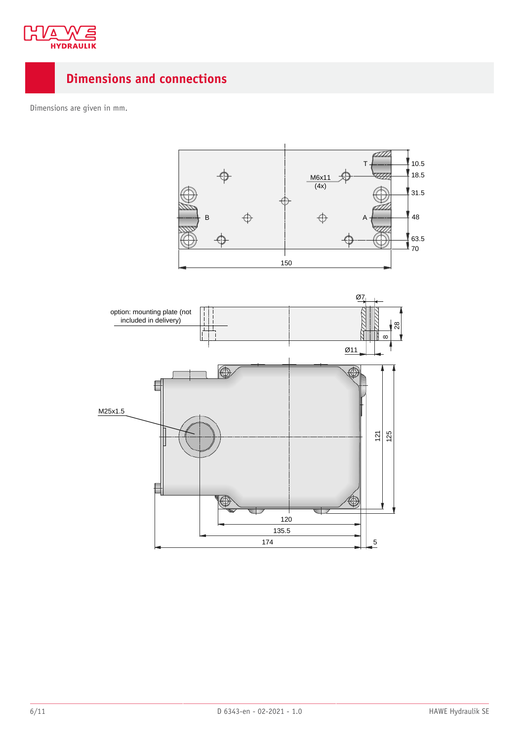

### <span id="page-5-0"></span>**Dimensions and connections**

Dimensions are given in mm.

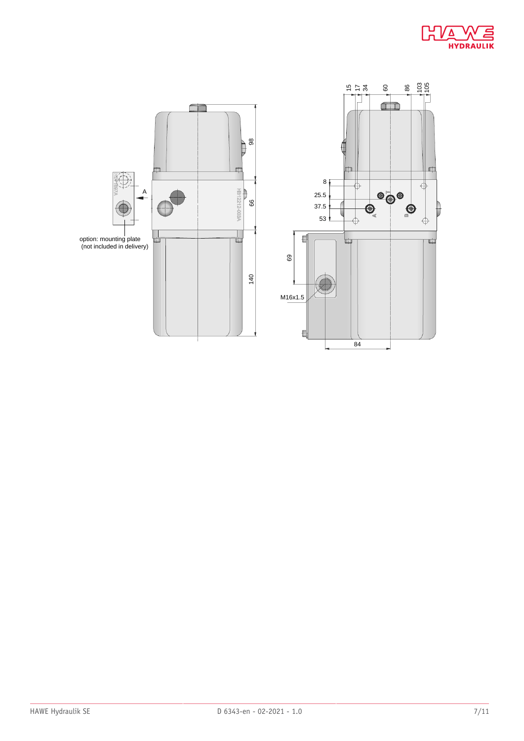



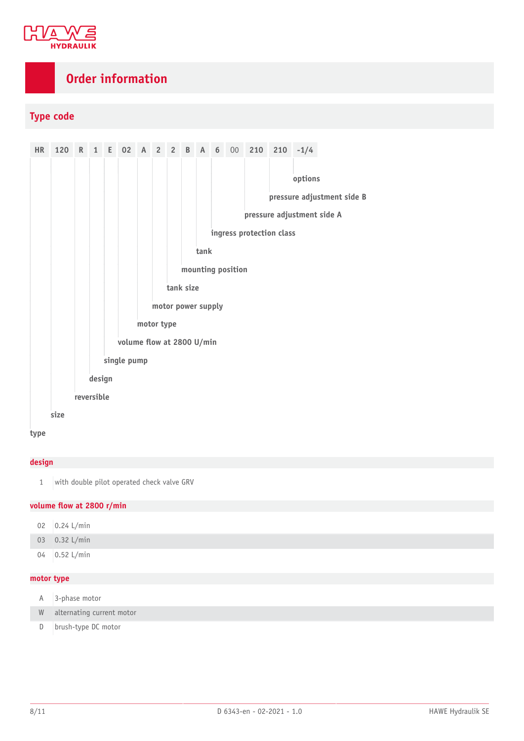

### <span id="page-7-0"></span>**Order information**

### **Type code**



#### **type**

### **design**

1 with double pilot operated check valve GRV

### **volume ow at 2800 r/min**

|             | 02 $0.24$ L/min                     |
|-------------|-------------------------------------|
|             | 03 0.32 L/min                       |
|             | 04 $\Big  0.52 \text{ L/min} \Big $ |
| matar tuna. |                                     |

#### **motor type**

| A | 3-phase motor               |
|---|-----------------------------|
|   | W alternating current motor |
|   | D   brush-type DC motor     |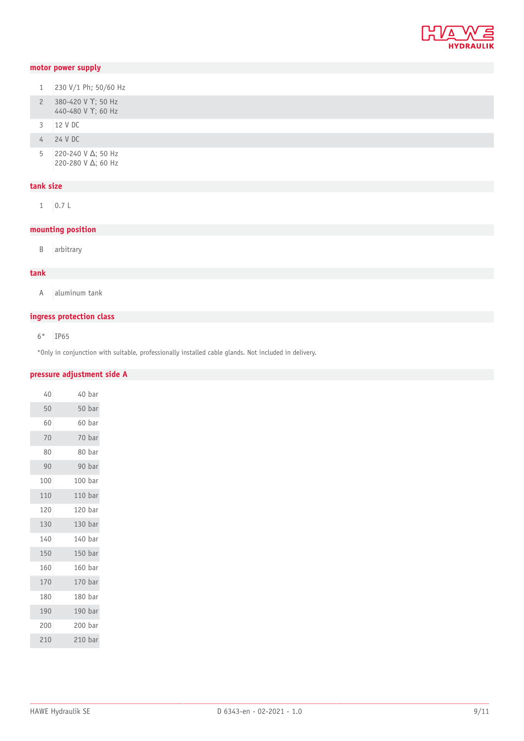

### **motor power supply**

| 1 | 230 V/1 Ph; 50/60 Hz |  |  |  |
|---|----------------------|--|--|--|
|   |                      |  |  |  |

- 2 380-420 V Υ; 50 Hz 440-480 V ϒ; 60 Hz
- 12 V DC
- 24 V DC
- 220-240 V Δ; 50 Hz 220-280 V Δ; 60 Hz

### **tank size**

0.7 L

### **mounting position**

B arbitrary

#### **tank**

A aluminum tank

### **ingress protection class**

6\* IP65

\*Only in conjunction with suitable, professionally installed cable glands. Not included in delivery.

#### **pressure adjustment side A**

| 40  |                    | 40 bar |
|-----|--------------------|--------|
| 50  |                    | 50 bar |
| 60  |                    | 60 bar |
| 70  |                    | 70 bar |
| 80  |                    | 80 bar |
| 90  |                    | 90 bar |
| 100 | 100 bar            |        |
| 110 | 110 bar            |        |
| 120 | 120 bar            |        |
| 130 | 130 bar            |        |
| 140 | 140 bar            |        |
| 150 | 150 bar            |        |
| 160 | 160 bar            |        |
| 170 | 170 bar            |        |
| 180 | 180 bar            |        |
| 190 | 190 bar            |        |
| 200 | 200 bar            |        |
| 210 | 210 <sub>bar</sub> |        |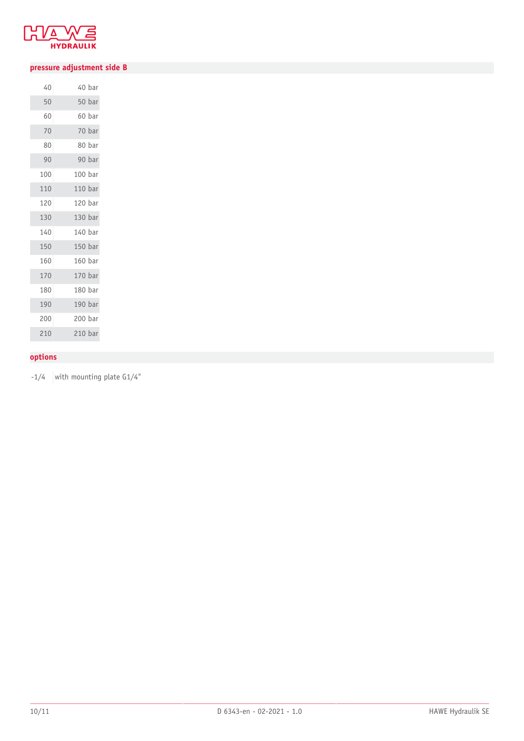

### **pressure adjustment side B**

| 40  |                    | 40 bar |
|-----|--------------------|--------|
| 50  |                    | 50 bar |
| 60  |                    | 60 bar |
| 70  |                    | 70 bar |
| 80  |                    | 80 bar |
| 90  |                    | 90 bar |
| 100 | 100 bar            |        |
| 110 | 110 <sub>bar</sub> |        |
| 120 | 120 bar            |        |
| 130 | 130 bar            |        |
| 140 | 140 bar            |        |
| 150 | 150 bar            |        |
| 160 | 160 bar            |        |
| 170 | 170 bar            |        |
| 180 | 180 bar            |        |
| 190 | 190 bar            |        |
| 200 | 200 bar            |        |
| 210 | 210 <sub>bar</sub> |        |

### **options**

 $-1/4$  with mounting plate G1/4"